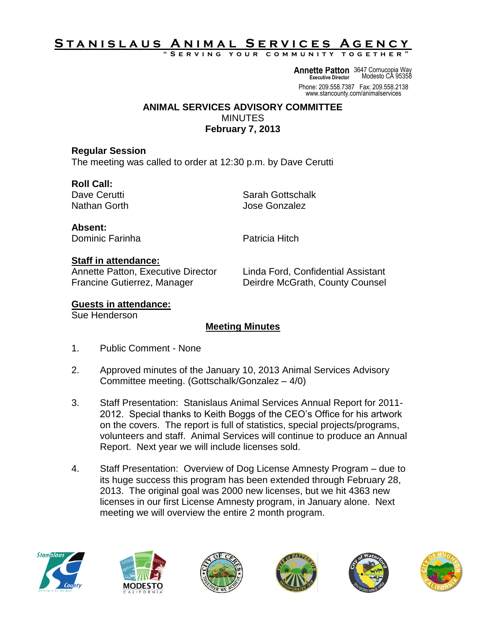# STANISLAUS ANIMAL SERVICES AGENCY

**" S e r v i n g y o u r c o m m u n i t y t o g e t h e r "**

**Annette Patton** 3647 Cornucopia Way **Executive Director** Modesto CA 95358

Phone: 209.558.7387 Fax: 209.558.2138 www.stancounty.com/animalservices

#### **ANIMAL SERVICES ADVISORY COMMITTEE** MINUTES **February 7, 2013**

#### **Regular Session**

The meeting was called to order at 12:30 p.m. by Dave Cerutti

### **Roll Call:**

Dave Cerutti National Sarah Gottschalk Nathan Gorth **Jose Gonzalez** 

**Absent:** Dominic Farinha **Patricia** Hitch

#### **Staff in attendance:**

Annette Patton, Executive Director Linda Ford, Confidential Assistant Francine Gutierrez, Manager Deirdre McGrath, County Counsel

### **Guests in attendance:**

Sue Henderson

## **Meeting Minutes**

- 1. Public Comment None
- 2. Approved minutes of the January 10, 2013 Animal Services Advisory Committee meeting. (Gottschalk/Gonzalez – 4/0)
- 3. Staff Presentation: Stanislaus Animal Services Annual Report for 2011- 2012. Special thanks to Keith Boggs of the CEO's Office for his artwork on the covers. The report is full of statistics, special projects/programs, volunteers and staff. Animal Services will continue to produce an Annual Report. Next year we will include licenses sold.
- 4. Staff Presentation: Overview of Dog License Amnesty Program due to its huge success this program has been extended through February 28, 2013. The original goal was 2000 new licenses, but we hit 4363 new licenses in our first License Amnesty program, in January alone. Next meeting we will overview the entire 2 month program.